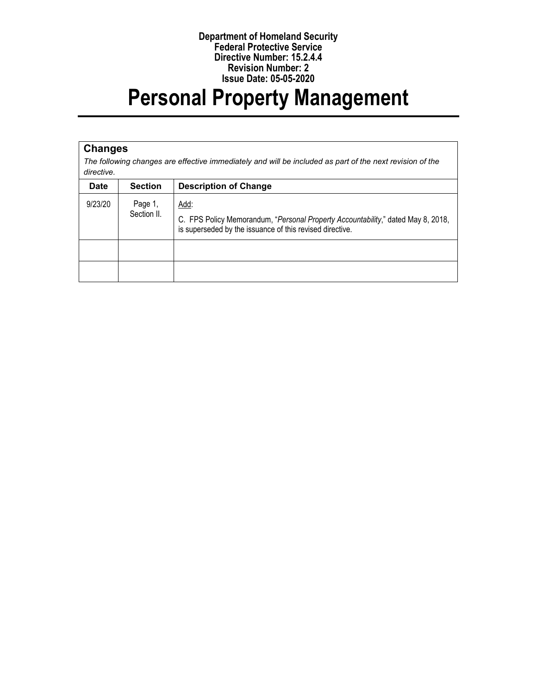#### **Department of Homeland Security Federal Protective Service Directive Number: 15.2.4.4 Revision Number: 2 Issue Date: 05-05-2020**

# **Personal Property Management**

#### **Changes**

*The following changes are effective immediately and will be included as part of the next revision of the directive.*

| <b>Date</b> | <b>Section</b>         | <b>Description of Change</b>                                                                                                                         |
|-------------|------------------------|------------------------------------------------------------------------------------------------------------------------------------------------------|
| 9/23/20     | Page 1,<br>Section II. | Add:<br>C. FPS Policy Memorandum, "Personal Property Accountability," dated May 8, 2018,<br>is superseded by the issuance of this revised directive. |
|             |                        |                                                                                                                                                      |
|             |                        |                                                                                                                                                      |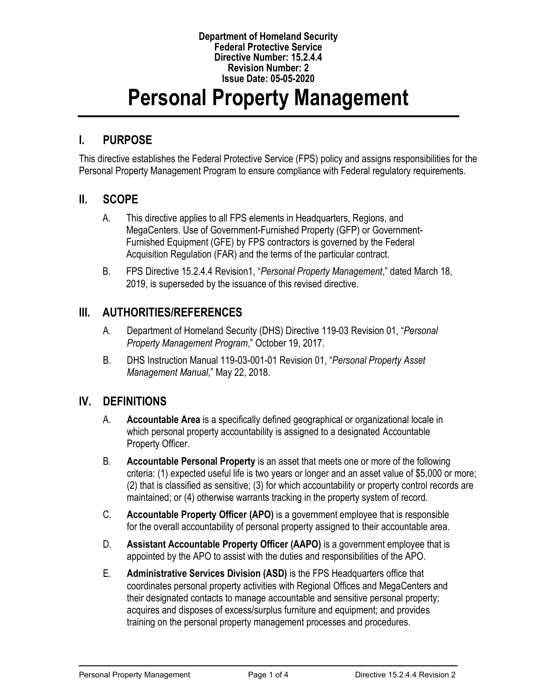#### **Department of Homeland Security Federal Protective Service Directive Number: 15.2.4.4 Revision Number: 2 Issue Date: 05-05-2020**

# **Personal Property Management**

### **I. PURPOSE**

This directive establishes the Federal Protective Service (FPS) policy and assigns responsibilities for the Personal Property Management Program to ensure compliance with Federal regulatory requirements.

#### **II. SCOPE**

- A. This directive applies to all FPS elements in Headquarters, Regions, and MegaCenters. Use of Government-Furnished Property (GFP) or Government-Furnished Equipment (GFE) by FPS contractors is governed by the Federal Acquisition Regulation (FAR) and the terms of the particular contract.
- B. FPS Directive 15.2.4.4 Revision1, "*Personal Property Management*," dated March 18, 2019, is superseded by the issuance of this revised directive.

#### **III. AUTHORITIES/REFERENCES**

- A. Department of Homeland Security (DHS) Directive 119-03 Revision 01, "*Personal Property Management Program*," October 19, 2017.
- B. DHS Instruction Manual 119-03-001-01 Revision 01, "*Personal Property Asset Management Manual*," May 22, 2018.

## **IV. DEFINITIONS**

- A. **Accountable Area** is a specifically defined geographical or organizational locale in which personal property accountability is assigned to a designated Accountable Property Officer.
- B. **Accountable Personal Property** is an asset that meets one or more of the following criteria: (1) expected useful life is two years or longer and an asset value of \$5,000 or more; (2) that is classified as sensitive; (3) for which accountability or property control records are maintained; or (4) otherwise warrants tracking in the property system of record.
- C. **Accountable Property Officer (APO)** is a government employee that is responsible for the overall accountability of personal property assigned to their accountable area.
- D. **Assistant Accountable Property Officer (AAPO)** is a government employee that is appointed by the APO to assist with the duties and responsibilities of the APO.
- E. **Administrative Services Division (ASD)** is the FPS Headquarters office that coordinates personal property activities with Regional Offices and MegaCenters and their designated contacts to manage accountable and sensitive personal property; acquires and disposes of excess/surplus furniture and equipment; and provides training on the personal property management processes and procedures.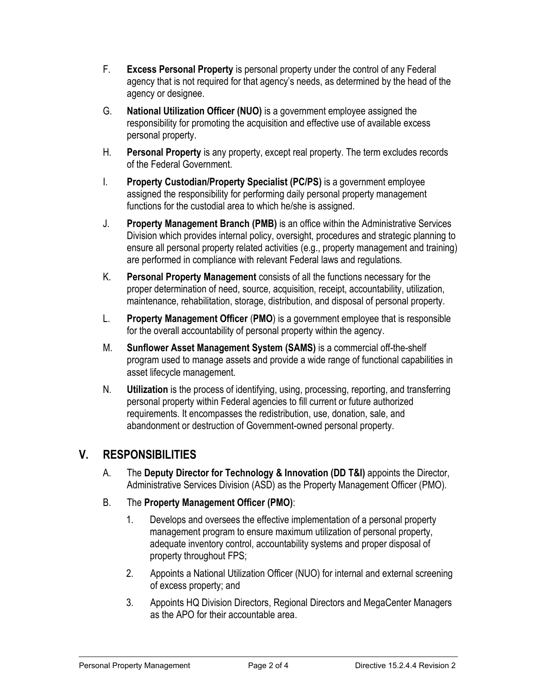- F. **Excess Personal Property** is personal property under the control of any Federal agency that is not required for that agency's needs, as determined by the head of the agency or designee.
- G. **National Utilization Officer (NUO)** is a government employee assigned the responsibility for promoting the acquisition and effective use of available excess personal property.
- H. **Personal Property** is any property, except real property. The term excludes records of the Federal Government.
- I. **Property Custodian/Property Specialist (PC/PS)** is a government employee assigned the responsibility for performing daily personal property management functions for the custodial area to which he/she is assigned.
- J. **Property Management Branch (PMB)** is an office within the Administrative Services Division which provides internal policy, oversight, procedures and strategic planning to ensure all personal property related activities (e.g., property management and training) are performed in compliance with relevant Federal laws and regulations.
- K. **Personal Property Management** consists of all the functions necessary for the proper determination of need, source, acquisition, receipt, accountability, utilization, maintenance, rehabilitation, storage, distribution, and disposal of personal property.
- L. **Property Management Officer** (**PMO**) is a government employee that is responsible for the overall accountability of personal property within the agency.
- M. **Sunflower Asset Management System (SAMS)** is a commercial off-the-shelf program used to manage assets and provide a wide range of functional capabilities in asset lifecycle management.
- N. **Utilization** is the process of identifying, using, processing, reporting, and transferring personal property within Federal agencies to fill current or future authorized requirements. It encompasses the redistribution, use, donation, sale, and abandonment or destruction of Government-owned personal property.

## **V. RESPONSIBILITIES**

- A. The **Deputy Director for Technology & Innovation (DD T&I)** appoints the Director, Administrative Services Division (ASD) as the Property Management Officer (PMO).
- B. The **Property Management Officer (PMO)**:
	- 1. Develops and oversees the effective implementation of a personal property management program to ensure maximum utilization of personal property, adequate inventory control, accountability systems and proper disposal of property throughout FPS;
	- 2. Appoints a National Utilization Officer (NUO) for internal and external screening of excess property; and
	- 3. Appoints HQ Division Directors, Regional Directors and MegaCenter Managers as the APO for their accountable area.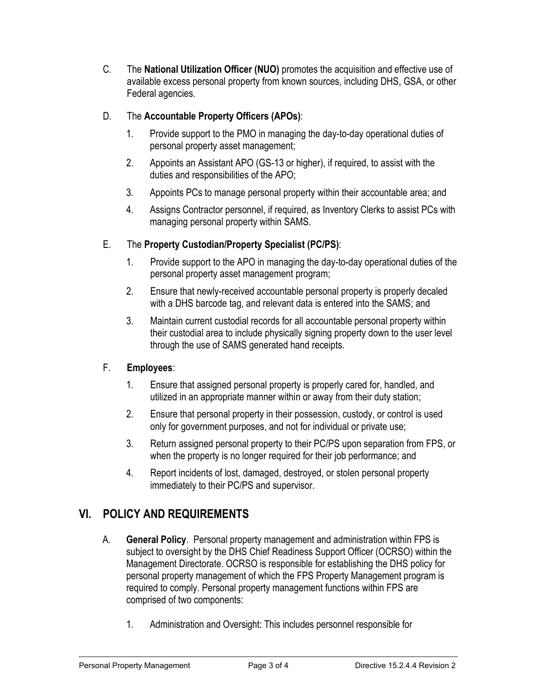C. The **National Utilization Officer (NUO)** promotes the acquisition and effective use of available excess personal property from known sources, including DHS, GSA, or other Federal agencies.

#### D. The **Accountable Property Officers (APOs)**:

- 1. Provide support to the PMO in managing the day-to-day operational duties of personal property asset management;
- 2. Appoints an Assistant APO (GS-13 or higher), if required, to assist with the duties and responsibilities of the APO;
- 3. Appoints PCs to manage personal property within their accountable area; and
- 4. Assigns Contractor personnel, if required, as Inventory Clerks to assist PCs with managing personal property within SAMS.

#### E. The **Property Custodian/Property Specialist (PC/PS)**:

- 1. Provide support to the APO in managing the day-to-day operational duties of the personal property asset management program;
- 2. Ensure that newly-received accountable personal property is properly decaled with a DHS barcode tag, and relevant data is entered into the SAMS; and
- 3. Maintain current custodial records for all accountable personal property within their custodial area to include physically signing property down to the user level through the use of SAMS generated hand receipts.

#### F. **Employees**:

- 1. Ensure that assigned personal property is properly cared for, handled, and utilized in an appropriate manner within or away from their duty station;
- 2. Ensure that personal property in their possession, custody, or control is used only for government purposes, and not for individual or private use;
- 3. Return assigned personal property to their PC/PS upon separation from FPS, or when the property is no longer required for their job performance; and
- 4. Report incidents of lost, damaged, destroyed, or stolen personal property immediately to their PC/PS and supervisor.

# **VI. POLICY AND REQUIREMENTS**

- A. **General Policy**. Personal property management and administration within FPS is subject to oversight by the DHS Chief Readiness Support Officer (OCRSO) within the Management Directorate. OCRSO is responsible for establishing the DHS policy for personal property management of which the FPS Property Management program is required to comply. Personal property management functions within FPS are comprised of two components:
	- 1. Administration and Oversight: This includes personnel responsible for